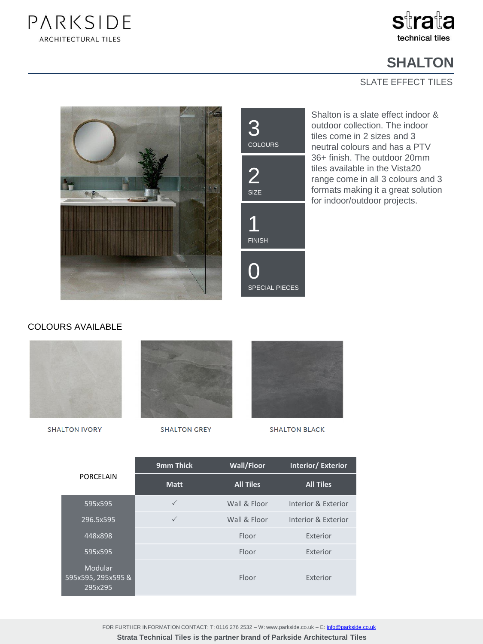



## **SHALTON**

## SLATE EFFECT TILES





Shalton is a slate effect indoor & outdoor collection. The indoor tiles come in 2 sizes and 3 neutral colours and has a PTV 36+ finish. The outdoor 20mm tiles available in the Vista20 range come in all 3 colours and 3 formats making it a great solution for indoor/outdoor projects.

## COLOURS AVAILABLE



**SHALTON IVORY** 



**SHALTON GREY** 



**SHALTON BLACK** 

| PORCELAIN                                       | 9mm Thick    | Wall/Floor       | <b>Interior/Exterior</b> |
|-------------------------------------------------|--------------|------------------|--------------------------|
|                                                 | <b>Matt</b>  | <b>All Tiles</b> | <b>All Tiles</b>         |
| 595x595                                         | $\checkmark$ | Wall & Floor     | Interior & Exterior      |
| 296.5x595                                       | $\checkmark$ | Wall & Floor     | Interior & Exterior      |
| 448x898                                         |              | Floor            | Exterior                 |
| 595x595                                         |              | Floor            | Exterior                 |
| <b>Modular</b><br>595x595, 295x595 &<br>295x295 |              | Floor            | Exterior                 |